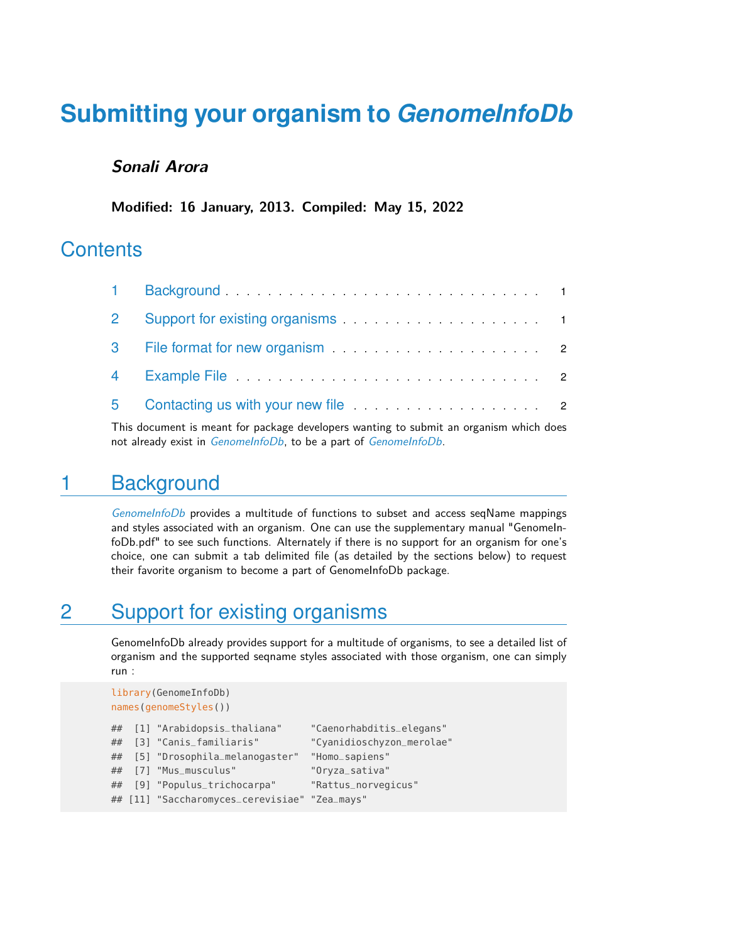# **Submitting your organism to** *[GenomeInfoDb](http://bioconductor.org/packages/GenomeInfoDb)*

#### **Sonali Arora**

**Modified: 16 January, 2013. Compiled: May 15, 2022**

#### **Contents**

<span id="page-0-0"></span>This document is meant for package developers wanting to submit an organism which does not already exist in [GenomeInfoDb](http://bioconductor.org/packages/GenomeInfoDb), to be a part of GenomeInfoDb.

#### 1 Background

[GenomeInfoDb](http://bioconductor.org/packages/GenomeInfoDb) provides a multitude of functions to subset and access seqName mappings and styles associated with an organism. One can use the supplementary manual "GenomeInfoDb.pdf" to see such functions. Alternately if there is no support for an organism for one's choice, one can submit a tab delimited file (as detailed by the sections below) to request their favorite organism to become a part of GenomeInfoDb package.

## <span id="page-0-1"></span>2 Support for existing organisms

GenomeInfoDb already provides support for a multitude of organisms, to see a detailed list of organism and the supported seqname styles associated with those organism, one can simply run :

```
library(GenomeInfoDb)
names(genomeStyles())
## [1] "Arabidopsis_thaliana" "Caenorhabditis_elegans"
## [3] "Canis_familiaris" "Cyanidioschyzon_merolae"
## [5] "Drosophila_melanogaster" "Homo_sapiens"
## [7] "Mus_musculus" "Oryza_sativa"
## [9] "Populus_trichocarpa" "Rattus_norvegicus"
## [11] "Saccharomyces_cerevisiae" "Zea_mays"
```